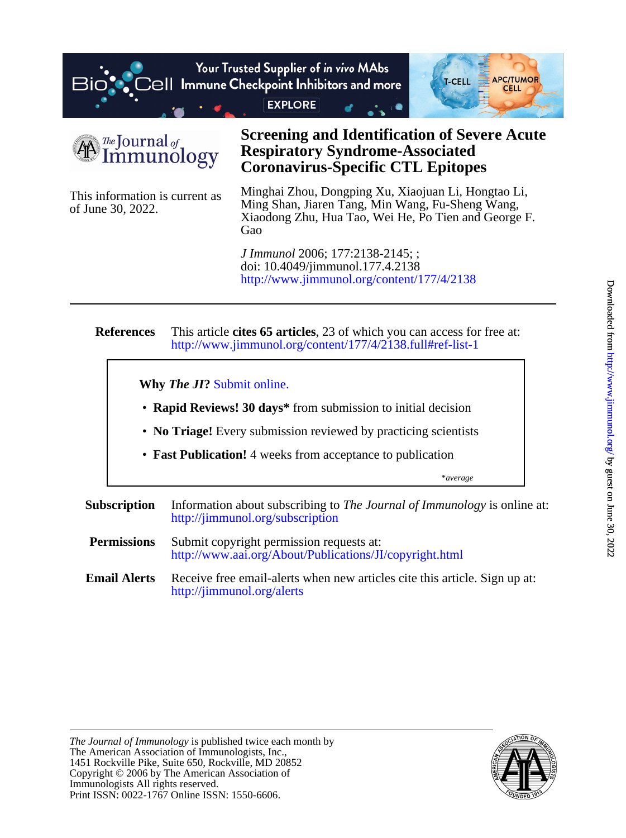



of June 30, 2022. This information is current as

# **Coronavirus-Specific CTL Epitopes Respiratory Syndrome-Associated Screening and Identification of Severe Acute**

Gao Xiaodong Zhu, Hua Tao, Wei He, Po Tien and George F. Ming Shan, Jiaren Tang, Min Wang, Fu-Sheng Wang, Minghai Zhou, Dongping Xu, Xiaojuan Li, Hongtao Li,

<http://www.jimmunol.org/content/177/4/2138> doi: 10.4049/jimmunol.177.4.2138 *J Immunol* 2006; 177:2138-2145; ;

#### **References** <http://www.jimmunol.org/content/177/4/2138.full#ref-list-1> This article **cites 65 articles**, 23 of which you can access for free at:

\**average* • **Fast Publication!** 4 weeks from acceptance to publication • **No Triage!** Every submission reviewed by practicing scientists • **Rapid Reviews! 30 days\*** from submission to initial decision **Why** *The JI***?** [Submit online.](https://ji.msubmit.net) **Subscription** <http://jimmunol.org/subscription> Information about subscribing to *The Journal of Immunology* is online at: **Permissions** <http://www.aai.org/About/Publications/JI/copyright.html> Submit copyright permission requests at:

**Email Alerts** <http://jimmunol.org/alerts> Receive free email-alerts when new articles cite this article. Sign up at:

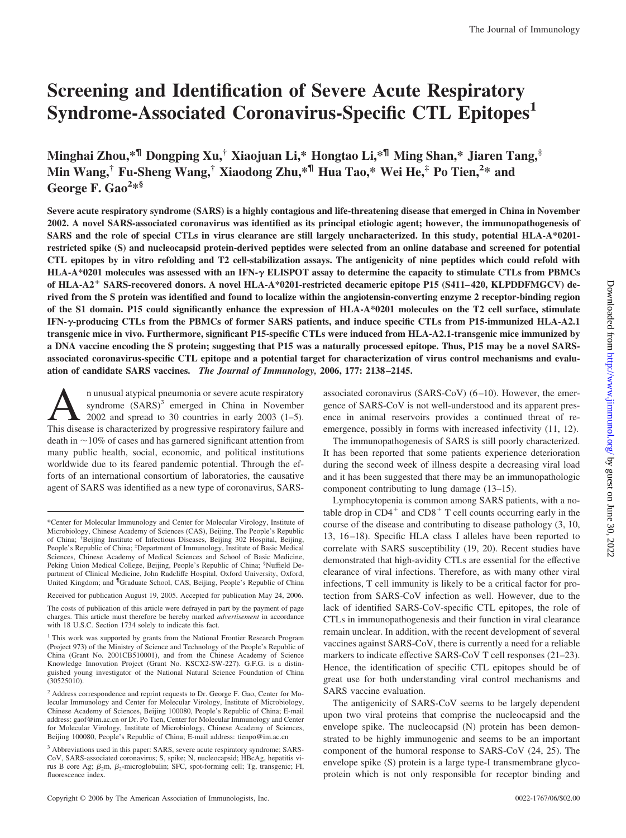# **Screening and Identification of Severe Acute Respiratory Syndrome-Associated Coronavirus-Specific CTL Epitopes1**

**Minghai Zhou,\*¶ Dongping Xu,† Xiaojuan Li,\* Hongtao Li,\*¶ Ming Shan,\* Jiaren Tang,‡ Min Wang,† Fu-Sheng Wang,† Xiaodong Zhu,\*¶ Hua Tao,\* Wei He,‡ Po Tien,<sup>2</sup> \* and George F. Gao<sup>2</sup> \*§**

**Severe acute respiratory syndrome (SARS) is a highly contagious and life-threatening disease that emerged in China in November 2002. A novel SARS-associated coronavirus was identified as its principal etiologic agent; however, the immunopathogenesis of SARS and the role of special CTLs in virus clearance are still largely uncharacterized. In this study, potential HLA-A\*0201 restricted spike (S) and nucleocapsid protein-derived peptides were selected from an online database and screened for potential CTL epitopes by in vitro refolding and T2 cell-stabilization assays. The antigenicity of nine peptides which could refold with HLA-A\*0201 molecules was assessed with an IFN- ELISPOT assay to determine the capacity to stimulate CTLs from PBMCs of HLA-A2**- **SARS-recovered donors. A novel HLA-A\*0201-restricted decameric epitope P15 (S411– 420, KLPDDFMGCV) derived from the S protein was identified and found to localize within the angiotensin-converting enzyme 2 receptor-binding region of the S1 domain. P15 could significantly enhance the expression of HLA-A\*0201 molecules on the T2 cell surface, stimulate IFN--producing CTLs from the PBMCs of former SARS patients, and induce specific CTLs from P15-immunized HLA-A2.1 transgenic mice in vivo. Furthermore, significant P15-specific CTLs were induced from HLA-A2.1-transgenic mice immunized by a DNA vaccine encoding the S protein; suggesting that P15 was a naturally processed epitope. Thus, P15 may be a novel SARSassociated coronavirus-specific CTL epitope and a potential target for characterization of virus control mechanisms and evaluation of candidate SARS vaccines.** *The Journal of Immunology,* **2006, 177: 2138 –2145.**

 $\sum$  n unusual atypical pneumonia or severe acute respiratory<br>syndrome  $(SARS)^3$  emerged in China in November<br>2002 and spread to 30 countries in early 2003 (1–5).<br>This disease is characterized by progressive respiratory fail syndrome  $(SARS)^3$  emerged in China in November 2002 and spread to 30 countries in early 2003 (1–5). This disease is characterized by progressive respiratory failure and death in  $\sim$  10% of cases and has garnered significant attention from many public health, social, economic, and political institutions worldwide due to its feared pandemic potential. Through the efforts of an international consortium of laboratories, the causative agent of SARS was identified as a new type of coronavirus, SARS-

Received for publication August 19, 2005. Accepted for publication May 24, 2006.

The costs of publication of this article were defrayed in part by the payment of page charges. This article must therefore be hereby marked *advertisement* in accordance with 18 U.S.C. Section 1734 solely to indicate this fact.

<sup>1</sup> This work was supported by grants from the National Frontier Research Program (Project 973) of the Ministry of Science and Technology of the People's Republic of China (Grant No. 2001CB510001), and from the Chinese Academy of Science Knowledge Innovation Project (Grant No. KSCX2-SW-227). G.F.G. is a distinguished young investigator of the National Natural Science Foundation of China  $(30525010)$ .

associated coronavirus (SARS-CoV) (6–10). However, the emergence of SARS-CoV is not well-understood and its apparent presence in animal reservoirs provides a continued threat of reemergence, possibly in forms with increased infectivity (11, 12).

The immunopathogenesis of SARS is still poorly characterized. It has been reported that some patients experience deterioration during the second week of illness despite a decreasing viral load and it has been suggested that there may be an immunopathologic component contributing to lung damage (13–15).

Lymphocytopenia is common among SARS patients, with a notable drop in  $CD4^+$  and  $CD8^+$  T cell counts occurring early in the course of the disease and contributing to disease pathology (3, 10, 13, 16–18). Specific HLA class I alleles have been reported to correlate with SARS susceptibility (19, 20). Recent studies have demonstrated that high-avidity CTLs are essential for the effective clearance of viral infections. Therefore, as with many other viral infections, T cell immunity is likely to be a critical factor for protection from SARS-CoV infection as well. However, due to the lack of identified SARS-CoV-specific CTL epitopes, the role of CTLs in immunopathogenesis and their function in viral clearance remain unclear. In addition, with the recent development of several vaccines against SARS-CoV, there is currently a need for a reliable markers to indicate effective SARS-CoV T cell responses (21–23). Hence, the identification of specific CTL epitopes should be of great use for both understanding viral control mechanisms and SARS vaccine evaluation.

The antigenicity of SARS-CoV seems to be largely dependent upon two viral proteins that comprise the nucleocapsid and the envelope spike. The nucleocapsid (N) protein has been demonstrated to be highly immunogenic and seems to be an important component of the humoral response to SARS-CoV (24, 25). The envelope spike (S) protein is a large type-I transmembrane glycoprotein which is not only responsible for receptor binding and

<sup>\*</sup>Center for Molecular Immunology and Center for Molecular Virology, Institute of Microbiology, Chinese Academy of Sciences (CAS), Beijing, The People's Republic of China; † Beijing Institute of Infectious Diseases, Beijing 302 Hospital, Beijing, People's Republic of China; <sup>‡</sup>Department of Immunology, Institute of Basic Medical Sciences, Chinese Academy of Medical Sciences and School of Basic Medicine, Peking Union Medical College, Beijing, People's Republic of China; <sup>§</sup>Nuffield Department of Clinical Medicine, John Radcliffe Hospital, Oxford University, Oxford, United Kingdom; and <sup>¶</sup>Graduate School, CAS, Beijing, People's Republic of China

<sup>2</sup> Address correspondence and reprint requests to Dr. George F. Gao, Center for Molecular Immunology and Center for Molecular Virology, Institute of Microbiology, Chinese Academy of Sciences, Beijing 100080, People's Republic of China; E-mail address: gaof@im.ac.cn or Dr. Po Tien, Center for Molecular Immunology and Center for Molecular Virology, Institute of Microbiology, Chinese Academy of Sciences, Beijing 100080, People's Republic of China; E-mail address: tienpo@im.ac.cn

<sup>&</sup>lt;sup>3</sup> Abbreviations used in this paper: SARS, severe acute respiratory syndrome; SARS-CoV, SARS-associated coronavirus; S, spike; N, nucleocapsid; HBcAg, hepatitis virus B core Ag;  $\beta_2$ m,  $\beta_2$ -microglobulin; SFC, spot-forming cell; Tg, transgenic; FI, fluorescence index.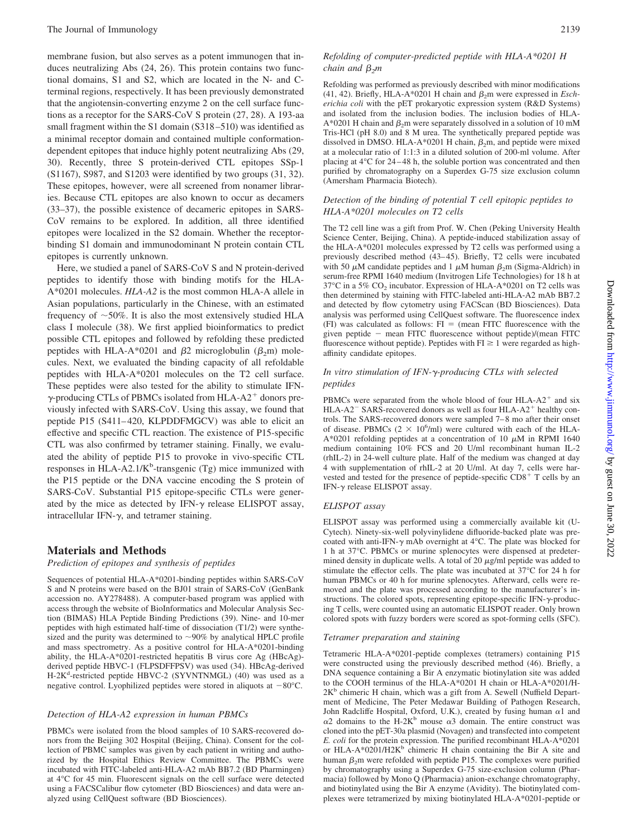membrane fusion, but also serves as a potent immunogen that induces neutralizing Abs (24, 26). This protein contains two functional domains, S1 and S2, which are located in the N- and Cterminal regions, respectively. It has been previously demonstrated that the angiotensin-converting enzyme 2 on the cell surface functions as a receptor for the SARS-CoV S protein (27, 28). A 193-aa small fragment within the S1 domain (S318–510) was identified as a minimal receptor domain and contained multiple conformationdependent epitopes that induce highly potent neutralizing Abs (29, 30). Recently, three S protein-derived CTL epitopes SSp-1 (S1167), S987, and S1203 were identified by two groups (31, 32). These epitopes, however, were all screened from nonamer libraries. Because CTL epitopes are also known to occur as decamers (33–37), the possible existence of decameric epitopes in SARS-CoV remains to be explored. In addition, all three identified epitopes were localized in the S2 domain. Whether the receptorbinding S1 domain and immunodominant N protein contain CTL epitopes is currently unknown.

Here, we studied a panel of SARS-CoV S and N protein-derived peptides to identify those with binding motifs for the HLA-A\*0201 molecules. *HLA-A2* is the most common HLA-A allele in Asian populations, particularly in the Chinese, with an estimated frequency of  $\sim$  50%. It is also the most extensively studied HLA class I molecule (38). We first applied bioinformatics to predict possible CTL epitopes and followed by refolding these predicted peptides with HLA-A\*0201 and  $\beta$ 2 microglobulin ( $\beta$ <sub>2</sub>m) molecules. Next, we evaluated the binding capacity of all refoldable peptides with HLA-A\*0201 molecules on the T2 cell surface. These peptides were also tested for the ability to stimulate IFN γ-producing CTLs of PBMCs isolated from HLA-A2<sup>+</sup> donors previously infected with SARS-CoV. Using this assay, we found that peptide P15 (S411–420, KLPDDFMGCV) was able to elicit an effective and specific CTL reaction. The existence of P15-specific CTL was also confirmed by tetramer staining. Finally, we evaluated the ability of peptide P15 to provoke in vivo-specific CTL responses in HLA-A2.1/ $K^b$ -transgenic (Tg) mice immunized with the P15 peptide or the DNA vaccine encoding the S protein of SARS-CoV. Substantial P15 epitope-specific CTLs were generated by the mice as detected by IFN- $\gamma$  release ELISPOT assay, intracellular IFN- $\gamma$ , and tetramer staining.

### **Materials and Methods**

*Prediction of epitopes and synthesis of peptides*

Sequences of potential HLA-A\*0201-binding peptides within SARS-CoV S and N proteins were based on the BJ01 strain of SARS-CoV (GenBank accession no. AY278488). A computer-based program was applied with access through the website of BioInformatics and Molecular Analysis Section (BIMAS) HLA Peptide Binding Predictions (39). Nine- and 10-mer peptides with high estimated half-time of dissociation (T1/2) were synthesized and the purity was determined to  $\sim$ 90% by analytical HPLC profile and mass spectrometry. As a positive control for HLA-A\*0201-binding ability, the HLA-A\*0201-restricted hepatitis B virus core Ag (HBcAg) derived peptide HBVC-1 (FLPSDFFPSV) was used (34). HBcAg-derived H-2K<sup>d</sup>-restricted peptide HBVC-2 (SYVNTNMGL) (40) was used as a negative control. Lyophilized peptides were stored in aliquots at  $-80^{\circ}$ C.

#### *Detection of HLA-A2 expression in human PBMCs*

PBMCs were isolated from the blood samples of 10 SARS-recovered donors from the Beijing 302 Hospital (Beijing, China). Consent for the collection of PBMC samples was given by each patient in writing and authorized by the Hospital Ethics Review Committee. The PBMCs were incubated with FITC-labeled anti-HLA-A2 mAb BB7.2 (BD Pharmingen) at 4°C for 45 min. Fluorescent signals on the cell surface were detected using a FACSCalibur flow cytometer (BD Biosciences) and data were analyzed using CellQuest software (BD Biosciences).

#### *Refolding of computer-predicted peptide with HLA-A\*0201 H chain and*  $\beta_2m$

Refolding was performed as previously described with minor modifications (41, 42). Briefly, HLA-A\*0201 H chain and  $\beta_2$ m were expressed in *Escherichia coli* with the pET prokaryotic expression system (R&D Systems) and isolated from the inclusion bodies. The inclusion bodies of HLA- $A*0201$  H chain and  $\beta_2$ m were separately dissolved in a solution of 10 mM Tris-HCl (pH 8.0) and 8 M urea. The synthetically prepared peptide was dissolved in DMSO. HLA-A\*0201 H chain,  $\beta_2$ m, and peptide were mixed at a molecular ratio of 1:1:3 in a diluted solution of 200-ml volume. After placing at 4°C for 24–48 h, the soluble portion was concentrated and then purified by chromatography on a Superdex G-75 size exclusion column (Amersham Pharmacia Biotech).

#### *Detection of the binding of potential T cell epitopic peptides to HLA-A\*0201 molecules on T2 cells*

The T2 cell line was a gift from Prof. W. Chen (Peking University Health Science Center, Beijing, China). A peptide-induced stabilization assay of the HLA-A\*0201 molecules expressed by T2 cells was performed using a previously described method (43–45). Briefly, T2 cells were incubated with 50  $\mu$ M candidate peptides and 1  $\mu$ M human  $\beta$ <sub>2</sub>m (Sigma-Aldrich) in serum-free RPMI 1640 medium (Invitrogen Life Technologies) for 18 h at  $37^{\circ}$ C in a 5% CO<sub>2</sub> incubator. Expression of HLA-A\*0201 on T2 cells was then determined by staining with FITC-labeled anti-HLA-A2 mAb BB7.2 and detected by flow cytometry using FACScan (BD Biosciences). Data analysis was performed using CellQuest software. The fluorescence index  $(FI)$  was calculated as follows:  $FI = (mean FITC$  fluorescence with the given peptide - mean FITC fluorescence without peptide)/(mean FITC fluorescence without peptide). Peptides with  $FI \ge 1$  were regarded as highaffinity candidate epitopes.

#### *In vitro stimulation of IFN-*-*-producing CTLs with selected peptides*

PBMCs were separated from the whole blood of four HLA-A2<sup>+</sup> and six HLA-A2<sup>-</sup> SARS-recovered donors as well as four HLA-A2<sup>+</sup> healthy controls. The SARS-recovered donors were sampled 7–8 mo after their onset of disease. PBMCs  $(2 \times 10^6/\text{ml})$  were cultured with each of the HLA-A\*0201 refolding peptides at a concentration of 10  $\mu$ M in RPMI 1640 medium containing 10% FCS and 20 U/ml recombinant human IL-2 (rhIL-2) in 24-well culture plate. Half of the medium was changed at day 4 with supplementation of rhIL-2 at 20 U/ml. At day 7, cells were harvested and tested for the presence of peptide-specific CD8<sup>+</sup> T cells by an IFN-γ release ELISPOT assay.

#### *ELISPOT assay*

ELISPOT assay was performed using a commercially available kit (U-Cytech). Ninety-six-well polyvinylidene difluoride-backed plate was precoated with anti-IFN- $\gamma$  mAb overnight at 4 $\rm ^{\circ}C$ . The plate was blocked for 1 h at 37°C. PBMCs or murine splenocytes were dispensed at predetermined density in duplicate wells. A total of 20  $\mu$ g/ml peptide was added to stimulate the effector cells. The plate was incubated at 37°C for 24 h for human PBMCs or 40 h for murine splenocytes. Afterward, cells were removed and the plate was processed according to the manufacturer's instructions. The colored spots, representing epitope-specific IFN- $\gamma$ -producing T cells, were counted using an automatic ELISPOT reader. Only brown colored spots with fuzzy borders were scored as spot-forming cells (SFC).

#### *Tetramer preparation and staining*

Tetrameric HLA-A\*0201-peptide complexes (tetramers) containing P15 were constructed using the previously described method (46). Briefly, a DNA sequence containing a Bir A enzymatic biotinylation site was added to the COOH terminus of the HLA-A\*0201 H chain or HLA-A\*0201/H-2K<sup>b</sup> chimeric H chain, which was a gift from A. Sewell (Nuffield Department of Medicine, The Peter Medawar Building of Pathogen Research, John Radcliffe Hospital, Oxford, U.K.), created by fusing human  $\alpha$ 1 and  $\alpha$ 2 domains to the H-2K<sup>b</sup> mouse  $\alpha$ 3 domain. The entire construct was cloned into the pET-30a plasmid (Novagen) and transfected into competent *E. coli* for the protein expression. The purified recombinant HLA-A\*0201 or HLA-A\*0201/H2K $^{\rm b}$  chimeric H chain containing the Bir A site and human  $\beta_2$ m were refolded with peptide P15. The complexes were purified by chromatography using a Superdex G-75 size-exclusion column (Pharmacia) followed by Mono Q (Pharmacia) anion-exchange chromatography, and biotinylated using the Bir A enzyme (Avidity). The biotinylated complexes were tetramerized by mixing biotinylated HLA-A\*0201-peptide or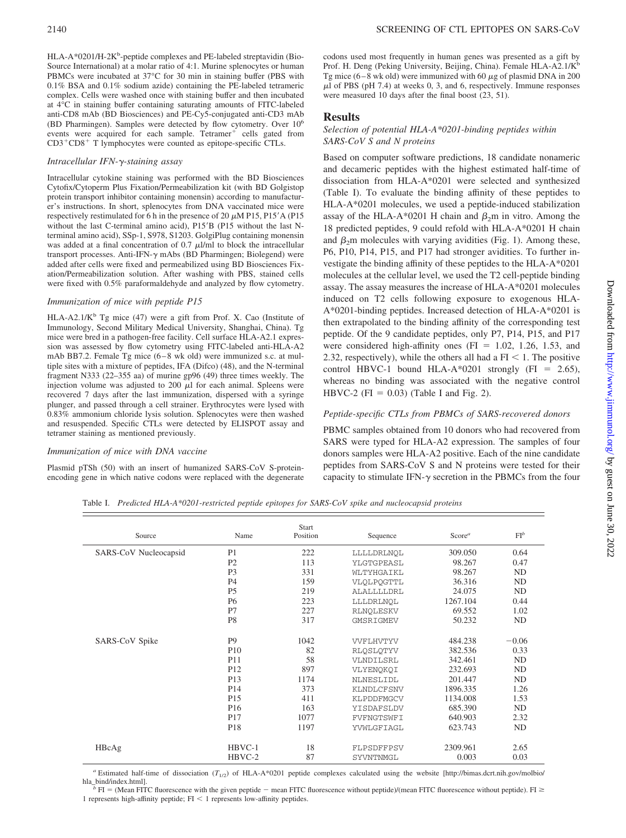HLA-A\*0201/H-2K<sup>b</sup>-peptide complexes and PE-labeled streptavidin (Bio-Source International) at a molar ratio of 4:1. Murine splenocytes or human PBMCs were incubated at 37°C for 30 min in staining buffer (PBS with 0.1% BSA and 0.1% sodium azide) containing the PE-labeled tetrameric complex. Cells were washed once with staining buffer and then incubated at 4°C in staining buffer containing saturating amounts of FITC-labeled anti-CD8 mAb (BD Biosciences) and PE-Cy5-conjugated anti-CD3 mAb (BD Pharmingen). Samples were detected by flow cytometry. Over 106 events were acquired for each sample. Tetramer<sup>+</sup> cells gated from CD3<sup>+</sup>CD8<sup>+</sup> T lymphocytes were counted as epitope-specific CTLs.

#### *Intracellular IFN-*-*-staining assay*

Intracellular cytokine staining was performed with the BD Biosciences Cytofix/Cytoperm Plus Fixation/Permeabilization kit (with BD Golgistop protein transport inhibitor containing monensin) according to manufacturer's instructions. In short, splenocytes from DNA vaccinated mice were respectively restimulated for 6 h in the presence of 20  $\mu$ M P15, P15' A (P15 without the last C-terminal amino acid), P15'B (P15 without the last Nterminal amino acid), SSp-1, S978, S1203. GolgiPlug containing monensin was added at a final concentration of  $0.7 \mu$ l/ml to block the intracellular transport processes. Anti-IFN- $\gamma$  mAbs (BD Pharmingen; Biolegend) were added after cells were fixed and permeabilized using BD Biosciences Fixation/Permeabilization solution. After washing with PBS, stained cells were fixed with 0.5% paraformaldehyde and analyzed by flow cytometry.

#### *Immunization of mice with peptide P15*

HLA-A2.1/ $K^b$  Tg mice (47) were a gift from Prof. X. Cao (Institute of Immunology, Second Military Medical University, Shanghai, China). Tg mice were bred in a pathogen-free facility. Cell surface HLA-A2.1 expression was assessed by flow cytometry using FITC-labeled anti-HLA-A2 mAb BB7.2. Female Tg mice (6–8 wk old) were immunized s.c. at multiple sites with a mixture of peptides, IFA (Difco) (48), and the N-terminal fragment N333 (22–355 aa) of murine gp96 (49) three times weekly. The injection volume was adjusted to 200  $\mu$ l for each animal. Spleens were recovered 7 days after the last immunization, dispersed with a syringe plunger, and passed through a cell strainer. Erythrocytes were lysed with 0.83% ammonium chloride lysis solution. Splenocytes were then washed and resuspended. Specific CTLs were detected by ELISPOT assay and tetramer staining as mentioned previously.

#### *Immunization of mice with DNA vaccine*

Plasmid pTSh (50) with an insert of humanized SARS-CoV S-proteinencoding gene in which native codons were replaced with the degenerate codons used most frequently in human genes was presented as a gift by Prof. H. Deng (Peking University, Beijing, China). Female HLA-A2.1/K<sup>b</sup> Tg mice  $(6-8$  wk old) were immunized with 60  $\mu$ g of plasmid DNA in 200  $\mu$ l of PBS (pH 7.4) at weeks 0, 3, and 6, respectively. Immune responses were measured 10 days after the final boost (23, 51).

#### **Results**

#### *Selection of potential HLA-A\*0201-binding peptides within SARS-CoV S and N proteins*

Based on computer software predictions, 18 candidate nonameric and decameric peptides with the highest estimated half-time of dissociation from HLA-A\*0201 were selected and synthesized (Table I). To evaluate the binding affinity of these peptides to HLA-A\*0201 molecules, we used a peptide-induced stabilization assay of the HLA-A\*0201 H chain and  $\beta_2$ m in vitro. Among the 18 predicted peptides, 9 could refold with HLA-A\*0201 H chain and  $\beta_2$ m molecules with varying avidities (Fig. 1). Among these, P6, P10, P14, P15, and P17 had stronger avidities. To further investigate the binding affinity of these peptides to the HLA-A\*0201 molecules at the cellular level, we used the T2 cell-peptide binding assay. The assay measures the increase of HLA-A\*0201 molecules induced on T2 cells following exposure to exogenous HLA-A\*0201-binding peptides. Increased detection of HLA-A\*0201 is then extrapolated to the binding affinity of the corresponding test peptide. Of the 9 candidate peptides, only P7, P14, P15, and P17 were considered high-affinity ones  $(FI = 1.02, 1.26, 1.53,$  and 2.32, respectively), while the others all had a  $FI < 1$ . The positive control HBVC-1 bound HLA-A\*0201 strongly (FI = 2.65), whereas no binding was associated with the negative control HBVC-2 (FI =  $0.03$ ) (Table I and Fig. 2).

# *Peptide-specific CTLs from PBMCs of SARS-recovered donors*

PBMC samples obtained from 10 donors who had recovered from SARS were typed for HLA-A2 expression. The samples of four donors samples were HLA-A2 positive. Each of the nine candidate peptides from SARS-CoV S and N proteins were tested for their capacity to stimulate IFN- $\gamma$  secretion in the PBMCs from the four

Table I. *Predicted HLA-A\*0201-restricted peptide epitopes for SARS-CoV spike and nucleocapsid proteins*

| Source                | Name            | Start<br>Position | Sequence          | Score <sup>a</sup> | $FI^b$    |
|-----------------------|-----------------|-------------------|-------------------|--------------------|-----------|
| SARS-CoV Nucleocapsid | P <sub>1</sub>  | 222               | LLLLDRLNQL        | 309.050            | 0.64      |
|                       | P <sub>2</sub>  | 113               | YLGTGPEASL        | 98.267             | 0.47      |
|                       | P <sub>3</sub>  | 331               | <b>WLTYHGAIKL</b> | 98.267             | ND        |
|                       | P <sub>4</sub>  | 159               | VLQLPQGTTL        | 36.316             | <b>ND</b> |
|                       | <b>P5</b>       | 219               | <b>ALALLLLDRL</b> | 24.075             | <b>ND</b> |
|                       | <b>P6</b>       | 223               | LLLDRLNOL         | 1267.104           | 0.44      |
|                       | P7              | 227               | RLNQLESKV         | 69.552             | 1.02      |
|                       | P <sub>8</sub>  | 317               | GMSRIGMEV         | 50.232             | <b>ND</b> |
| SARS-CoV Spike        | P <sub>9</sub>  | 1042              | <b>VVFLHVTYV</b>  | 484.238            | $-0.06$   |
|                       | <b>P10</b>      | 82                | RLQSLQTYV         | 382.536            | 0.33      |
|                       | P11             | 58                | VLNDTLSRL         | 342.461            | <b>ND</b> |
|                       | P <sub>12</sub> | 897               | VLYENOKOI         | 232.693            | <b>ND</b> |
|                       | P <sub>13</sub> | 1174              | NLNESLIDL         | 201.447            | ND        |
|                       | P <sub>14</sub> | 373               | <b>KLNDLCFSNV</b> | 1896.335           | 1.26      |
|                       | P <sub>15</sub> | 411               | KLPDDFMGCV        | 1134.008           | 1.53      |
|                       | P <sub>16</sub> | 163               | YISDAFSLDV        | 685.390            | ND        |
|                       | P17             | 1077              | FVFNGTSWFI        | 640.903            | 2.32      |
|                       | P <sub>18</sub> | 1197              | YVWLGFIAGL        | 623.743            | <b>ND</b> |
| HBcAg                 | $HBVC-1$        | 18                | FLPSDFFPSV        | 2309.961           | 2.65      |
|                       | $HBVC-2$        | 87                | SYVNTNMGL         | 0.003              | 0.03      |

<sup>*a*</sup> Estimated half-time of dissociation (*T*<sub>1/2</sub>) of HLA-A\*0201 peptide complexes calculated using the website [http://bimas.dcrt.nih.gov/molbio/<br>hla\_bind/index.html].

 $\overline{h}$  FI = (Mean FITC fluorescence with the given peptide  $-$  mean FITC fluorescence without peptide)/(mean FITC fluorescence without peptide). FI  $\geq$ 1 represents high-affinity peptide;  $FI < 1$  represents low-affinity peptides.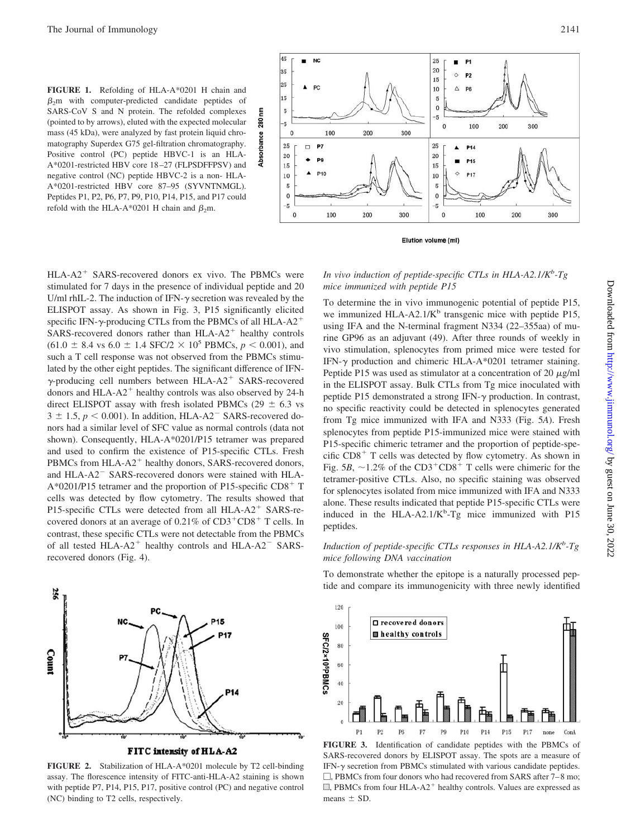**FIGURE 1.** Refolding of HLA-A\*0201 H chain and  $\beta$ <sub>2</sub>m with computer-predicted candidate peptides of SARS-CoV S and N protein. The refolded complexes (pointed to by arrows), eluted with the expected molecular mass (45 kDa), were analyzed by fast protein liquid chromatography Superdex G75 gel-filtration chromatography. Positive control (PC) peptide HBVC-1 is an HLA-A\*0201-restricted HBV core 18–27 (FLPSDFFPSV) and negative control (NC) peptide HBVC-2 is a non- HLA-A\*0201-restricted HBV core 87–95 (SYVNTNMGL). Peptides P1, P2, P6, P7, P9, P10, P14, P15, and P17 could refold with the HLA-A\*0201 H chain and  $\beta_2$ m.

E

Absorbance





HLA-A2<sup>+</sup> SARS-recovered donors ex vivo. The PBMCs were stimulated for 7 days in the presence of individual peptide and 20 U/ml rhIL-2. The induction of IFN- $\gamma$  secretion was revealed by the ELISPOT assay. As shown in Fig. 3, P15 significantly elicited specific IFN- $\gamma$ -producing CTLs from the PBMCs of all HLA-A2<sup>+</sup>  $SARS$ -recovered donors rather than  $HLA-A2$ <sup>+</sup> healthy controls  $(61.0 \pm 8.4 \text{ vs } 6.0 \pm 1.4 \text{ SFC}/2 \times 10^5 \text{ PBMCs}, p < 0.001)$ , and such a T cell response was not observed from the PBMCs stimulated by the other eight peptides. The significant difference of IFN γ-producing cell numbers between HLA-A2<sup>+</sup> SARS-recovered donors and HLA-A2<sup>+</sup> healthy controls was also observed by 24-h direct ELISPOT assay with fresh isolated PBMCs (29  $\pm$  6.3 vs  $3 \pm 1.5$ ,  $p \le 0.001$ ). In addition, HLA-A2<sup>-</sup> SARS-recovered donors had a similar level of SFC value as normal controls (data not shown). Consequently, HLA-A\*0201/P15 tetramer was prepared and used to confirm the existence of P15-specific CTLs. Fresh PBMCs from HLA-A2<sup>+</sup> healthy donors, SARS-recovered donors, and HLA-A2<sup>-</sup> SARS-recovered donors were stained with HLA- $A*0201/P15$  tetramer and the proportion of P15-specific CD8<sup>+</sup> T cells was detected by flow cytometry. The results showed that P15-specific CTLs were detected from all HLA-A2<sup>+</sup> SARS-recovered donors at an average of  $0.21\%$  of  $CD3^+CD8^+$  T cells. In contrast, these specific CTLs were not detectable from the PBMCs of all tested  $HLA-AA^2$  healthy controls and  $HLA-AA^2$  SARSrecovered donors (Fig. 4).



FITC intensity of HLA-A2

**FIGURE 2.** Stabilization of HLA-A\*0201 molecule by T2 cell-binding assay. The florescence intensity of FITC-anti-HLA-A2 staining is shown with peptide P7, P14, P15, P17, positive control (PC) and negative control (NC) binding to T2 cells, respectively.

In vivo induction of peptide-specific CTLs in HLA-A2.1/K<sup>b</sup>-Tg *mice immunized with peptide P15*

To determine the in vivo immunogenic potential of peptide P15, we immunized HLA-A2.1/ $K<sup>b</sup>$  transgenic mice with peptide P15, using IFA and the N-terminal fragment N334 (22–355aa) of murine GP96 as an adjuvant (49). After three rounds of weekly in vivo stimulation, splenocytes from primed mice were tested for IFN- $\gamma$  production and chimeric HLA-A\*0201 tetramer staining. Peptide P15 was used as stimulator at a concentration of 20  $\mu$ g/ml in the ELISPOT assay. Bulk CTLs from Tg mice inoculated with peptide P15 demonstrated a strong IFN- $\gamma$  production. In contrast, no specific reactivity could be detected in splenocytes generated from Tg mice immunized with IFA and N333 (Fig. 5*A*). Fresh splenocytes from peptide P15-immunized mice were stained with P15-specific chimeric tetramer and the proportion of peptide-specific CD8<sup>+</sup> T cells was detected by flow cytometry. As shown in Fig.  $5B$ ,  $\sim$ 1.2% of the CD3<sup>+</sup>CD8<sup>+</sup> T cells were chimeric for the tetramer-positive CTLs. Also, no specific staining was observed for splenocytes isolated from mice immunized with IFA and N333 alone. These results indicated that peptide P15-specific CTLs were induced in the HLA-A2.1/ $K<sup>b</sup>$ -Tg mice immunized with P15 peptides.

# *Induction of peptide-specific CTLs responses in HLA-A2.1/K<sup>b</sup>-Tg mice following DNA vaccination*

To demonstrate whether the epitope is a naturally processed peptide and compare its immunogenicity with three newly identified



**FIGURE 3.** Identification of candidate peptides with the PBMCs of SARS-recovered donors by ELISPOT assay. The spots are a measure of IFN- $\gamma$  secretion from PBMCs stimulated with various candidate peptides.  $\Box$ , PBMCs from four donors who had recovered from SARS after 7–8 mo;  $\Box$ , PBMCs from four HLA-A2<sup>+</sup> healthy controls. Values are expressed as means  $\pm$  SD.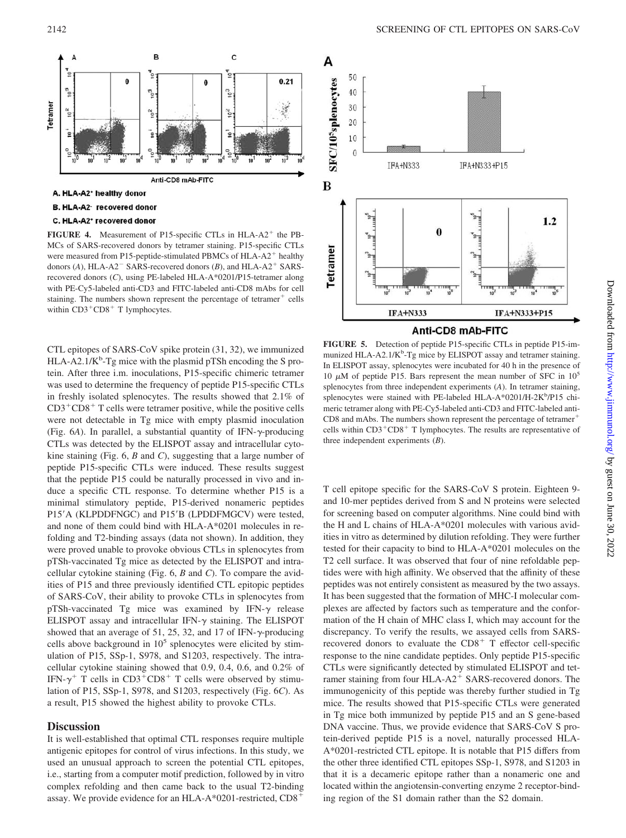

FIGURE 4. Measurement of P15-specific CTLs in HLA-A2<sup>+</sup> the PB-MCs of SARS-recovered donors by tetramer staining. P15-specific CTLs were measured from P15-peptide-stimulated PBMCs of HLA-A2<sup>+</sup> healthy donors  $(A)$ , HLA-A2<sup>-</sup> SARS-recovered donors  $(B)$ , and HLA-A2<sup>+</sup> SARSrecovered donors (*C*), using PE-labeled HLA-A\*0201/P15-tetramer along with PE-Cy5-labeled anti-CD3 and FITC-labeled anti-CD8 mAbs for cell staining. The numbers shown represent the percentage of tetramer<sup>+</sup> cells within  $CD3^+CD8^+$  T lymphocytes.

CTL epitopes of SARS-CoV spike protein (31, 32), we immunized HLA-A2.1/K<sup>b</sup>-Tg mice with the plasmid pTSh encoding the S protein. After three i.m. inoculations, P15-specific chimeric tetramer was used to determine the frequency of peptide P15-specific CTLs in freshly isolated splenocytes. The results showed that 2.1% of CD3-CD8- T cells were tetramer positive, while the positive cells were not detectable in Tg mice with empty plasmid inoculation (Fig.  $6A$ ). In parallel, a substantial quantity of IFN- $\gamma$ -producing CTLs was detected by the ELISPOT assay and intracellular cytokine staining (Fig. 6, *B* and *C*), suggesting that a large number of peptide P15-specific CTLs were induced. These results suggest that the peptide P15 could be naturally processed in vivo and induce a specific CTL response. To determine whether P15 is a minimal stimulatory peptide, P15-derived nonameric peptides P15'A (KLPDDFNGC) and P15'B (LPDDFMGCV) were tested, and none of them could bind with HLA-A\*0201 molecules in refolding and T2-binding assays (data not shown). In addition, they were proved unable to provoke obvious CTLs in splenocytes from pTSh-vaccinated Tg mice as detected by the ELISPOT and intracellular cytokine staining (Fig. 6, *B* and *C*). To compare the avidities of P15 and three previously identified CTL epitopic peptides of SARS-CoV, their ability to provoke CTLs in splenocytes from  $pTSh$ -vaccinated Tg mice was examined by IFN- $\gamma$  release ELISPOT assay and intracellular IFN- $\gamma$  staining. The ELISPOT showed that an average of 51, 25, 32, and 17 of IFN- $\gamma$ -producing cells above background in  $10<sup>5</sup>$  splenocytes were elicited by stimulation of P15, SSp-1, S978, and S1203, respectively. The intracellular cytokine staining showed that 0.9, 0.4, 0.6, and 0.2% of IFN- $\gamma^+$  T cells in CD3<sup>+</sup>CD8<sup>+</sup> T cells were observed by stimulation of P15, SSp-1, S978, and S1203, respectively (Fig. 6*C*). As a result, P15 showed the highest ability to provoke CTLs.

# **Discussion**

It is well-established that optimal CTL responses require multiple antigenic epitopes for control of virus infections. In this study, we used an unusual approach to screen the potential CTL epitopes, i.e., starting from a computer motif prediction, followed by in vitro complex refolding and then came back to the usual T2-binding assay. We provide evidence for an HLA-A\*0201-restricted,  $CD8^+$ 



**FIGURE 5.** Detection of peptide P15-specific CTLs in peptide P15-immunized HLA-A2.1/K<sup>b</sup>-Tg mice by ELISPOT assay and tetramer staining. In ELISPOT assay, splenocytes were incubated for 40 h in the presence of 10  $\mu$ M of peptide P15. Bars represent the mean number of SFC in 10<sup>5</sup> splenocytes from three independent experiments (*A*). In tetramer staining, splenocytes were stained with PE-labeled HLA-A\*0201/H-2K<sup>b</sup>/P15 chimeric tetramer along with PE-Cy5-labeled anti-CD3 and FITC-labeled anti-CD8 and mAbs. The numbers shown represent the percentage of tetramer<sup>+</sup> cells within  $CD3^+CD8^+$  T lymphocytes. The results are representative of three independent experiments (*B*).

T cell epitope specific for the SARS-CoV S protein. Eighteen 9 and 10-mer peptides derived from S and N proteins were selected for screening based on computer algorithms. Nine could bind with the H and L chains of HLA-A\*0201 molecules with various avidities in vitro as determined by dilution refolding. They were further tested for their capacity to bind to HLA-A\*0201 molecules on the T2 cell surface. It was observed that four of nine refoldable peptides were with high affinity. We observed that the affinity of these peptides was not entirely consistent as measured by the two assays. It has been suggested that the formation of MHC-I molecular complexes are affected by factors such as temperature and the conformation of the H chain of MHC class I, which may account for the discrepancy. To verify the results, we assayed cells from SARSrecovered donors to evaluate the  $CD8<sup>+</sup>$  T effector cell-specific response to the nine candidate peptides. Only peptide P15-specific CTLs were significantly detected by stimulated ELISPOT and tetramer staining from four HLA-A2<sup>+</sup> SARS-recovered donors. The immunogenicity of this peptide was thereby further studied in Tg mice. The results showed that P15-specific CTLs were generated in Tg mice both immunized by peptide P15 and an S gene-based DNA vaccine. Thus, we provide evidence that SARS-CoV S protein-derived peptide P15 is a novel, naturally processed HLA-A\*0201-restricted CTL epitope. It is notable that P15 differs from the other three identified CTL epitopes SSp-1, S978, and S1203 in that it is a decameric epitope rather than a nonameric one and located within the angiotensin-converting enzyme 2 receptor-binding region of the S1 domain rather than the S2 domain.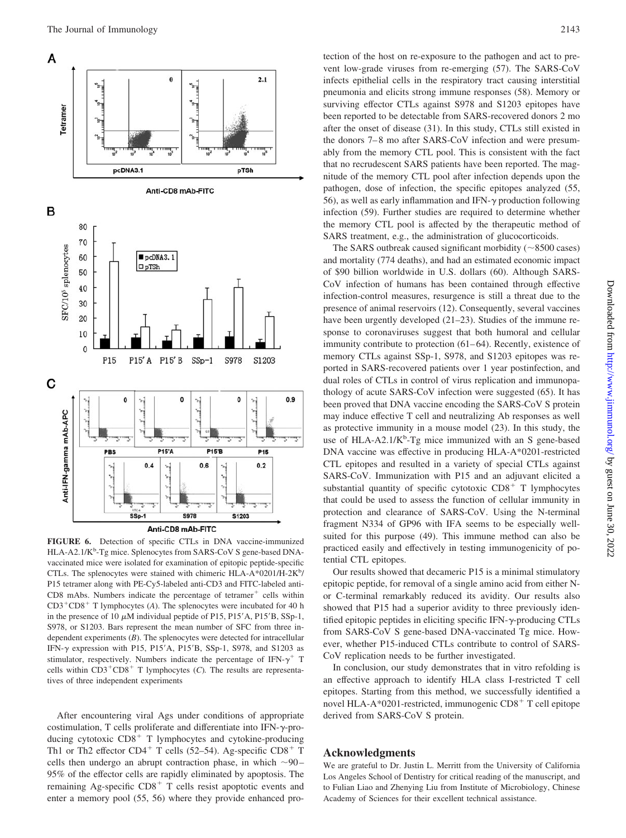

**FIGURE 6.** Detection of specific CTLs in DNA vaccine-immunized HLA-A2.1/K<sup>b</sup>-Tg mice. Splenocytes from SARS-CoV S gene-based DNAvaccinated mice were isolated for examination of epitopic peptide-specific CTLs. The splenocytes were stained with chimeric HLA-A\*0201/H-2K<sup>b</sup>/ P15 tetramer along with PE-Cy5-labeled anti-CD3 and FITC-labeled anti-CD8 mAbs. Numbers indicate the percentage of tetramer<sup>+</sup> cells within CD3<sup>+</sup>CD8<sup>+</sup> T lymphocytes (A). The splenocytes were incubated for 40 h in the presence of 10  $\mu$ M individual peptide of P15, P15'A, P15'B, SSp-1, S978, or S1203. Bars represent the mean number of SFC from three independent experiments (*B*). The splenocytes were detected for intracellular IFN- $\gamma$  expression with P15, P15'A, P15'B, SSp-1, S978, and S1203 as stimulator, respectively. Numbers indicate the percentage of IFN- $\gamma^+$  T cells within  $CD3+CD8+T$  lymphocytes (C). The results are representatives of three independent experiments

After encountering viral Ags under conditions of appropriate costimulation, T cells proliferate and differentiate into IFN- $\gamma$ -producing cytotoxic CD8<sup>+</sup> T lymphocytes and cytokine-producing Th1 or Th2 effector  $CD4^+$  T cells (52–54). Ag-specific  $CD8^+$  T cells then undergo an abrupt contraction phase, in which  $\sim$ 90– 95% of the effector cells are rapidly eliminated by apoptosis. The remaining Ag-specific  $CD8<sup>+</sup>$  T cells resist apoptotic events and enter a memory pool (55, 56) where they provide enhanced protection of the host on re-exposure to the pathogen and act to prevent low-grade viruses from re-emerging (57). The SARS-CoV infects epithelial cells in the respiratory tract causing interstitial pneumonia and elicits strong immune responses (58). Memory or surviving effector CTLs against S978 and S1203 epitopes have been reported to be detectable from SARS-recovered donors 2 mo after the onset of disease (31). In this study, CTLs still existed in the donors 7–8 mo after SARS-CoV infection and were presumably from the memory CTL pool. This is consistent with the fact that no recrudescent SARS patients have been reported. The magnitude of the memory CTL pool after infection depends upon the pathogen, dose of infection, the specific epitopes analyzed (55, 56), as well as early inflammation and IFN- $\gamma$  production following infection (59). Further studies are required to determine whether the memory CTL pool is affected by the therapeutic method of SARS treatment, e.g., the administration of glucocorticoids.

The SARS outbreak caused significant morbidity  $(\sim 8500 \text{ cases})$ and mortality (774 deaths), and had an estimated economic impact of \$90 billion worldwide in U.S. dollars (60). Although SARS-CoV infection of humans has been contained through effective infection-control measures, resurgence is still a threat due to the presence of animal reservoirs (12). Consequently, several vaccines have been urgently developed (21–23). Studies of the immune response to coronaviruses suggest that both humoral and cellular immunity contribute to protection (61–64). Recently, existence of memory CTLs against SSp-1, S978, and S1203 epitopes was reported in SARS-recovered patients over 1 year postinfection, and dual roles of CTLs in control of virus replication and immunopathology of acute SARS-CoV infection were suggested (65). It has been proved that DNA vaccine encoding the SARS-CoV S protein may induce effective T cell and neutralizing Ab responses as well as protective immunity in a mouse model (23). In this study, the use of HLA-A2.1/K<sup>b</sup>-Tg mice immunized with an S gene-based DNA vaccine was effective in producing HLA-A\*0201-restricted CTL epitopes and resulted in a variety of special CTLs against SARS-CoV. Immunization with P15 and an adjuvant elicited a substantial quantity of specific cytotoxic  $CD8<sup>+</sup>$  T lymphocytes that could be used to assess the function of cellular immunity in protection and clearance of SARS-CoV. Using the N-terminal fragment N334 of GP96 with IFA seems to be especially wellsuited for this purpose (49). This immune method can also be practiced easily and effectively in testing immunogenicity of potential CTL epitopes.

Our results showed that decameric P15 is a minimal stimulatory epitopic peptide, for removal of a single amino acid from either Nor C-terminal remarkably reduced its avidity. Our results also showed that P15 had a superior avidity to three previously identified epitopic peptides in eliciting specific IFN- $\gamma$ -producing CTLs from SARS-CoV S gene-based DNA-vaccinated Tg mice. However, whether P15-induced CTLs contribute to control of SARS-CoV replication needs to be further investigated.

In conclusion, our study demonstrates that in vitro refolding is an effective approach to identify HLA class I-restricted T cell epitopes. Starting from this method, we successfully identified a novel HLA-A\*0201-restricted, immunogenic CD8<sup>+</sup> T cell epitope derived from SARS-CoV S protein.

#### **Acknowledgments**

We are grateful to Dr. Justin L. Merritt from the University of California Los Angeles School of Dentistry for critical reading of the manuscript, and to Fulian Liao and Zhenying Liu from Institute of Microbiology, Chinese Academy of Sciences for their excellent technical assistance.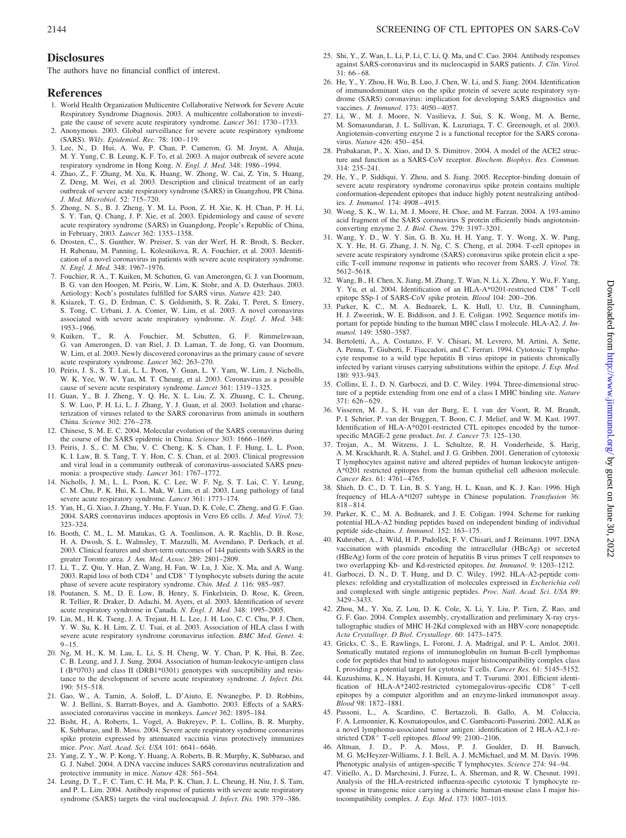# **Disclosures**

The authors have no financial conflict of interest.

# **References**

- 1. World Health Organization Multicentre Collaborative Network for Severe Acute Respiratory Syndrome Diagnosis. 2003. A multicentre collaboration to investigate the cause of severe acute respiratory syndrome. *Lancet* 361: 1730–1733.
- 2. Anonymous. 2003. Global surveillance for severe acute respiratory syndrome (SARS). *Wkly. Epidemiol. Rec.* 78: 100–119.
- 3. Lee, N., D. Hui, A. Wu, P. Chan, P. Cameron, G. M. Joynt, A. Ahuja, M. Y. Yung, C. B. Leung, K. F. To, et al. 2003. A major outbreak of severe acute respiratory syndrome in Hong Kong. *N. Engl. J. Med.* 348: 1986–1994.
- 4. Zhao, Z., F. Zhang, M. Xu, K. Huang, W. Zhong, W. Cai, Z. Yin, S. Huang, Z. Deng, M. Wei, et al. 2003. Description and clinical treatment of an early outbreak of severe acute respiratory syndrome (SARS) in Guangzhou, PR China. *J. Med. Microbiol.* 52: 715–720.
- 5. Zhong, N. S., B. J. Zheng, Y. M. Li, Poon, Z. H. Xie, K. H. Chan, P. H. Li, S. Y. Tan, Q. Chang, J. P. Xie, et al. 2003. Epidemiology and cause of severe acute respiratory syndrome (SARS) in Guangdong, People's Republic of China, in February, 2003. *Lancet* 362: 1353–1358.
- 6. Drosten, C., S. Gunther, W. Preiser, S. van der Werf, H. R. Brodt, S. Becker, H. Rabenau, M. Panning, L. Kolesnikova, R. A. Fouchier, et al. 2003. Identification of a novel coronavirus in patients with severe acute respiratory syndrome. *N. Engl. J. Med.* 348: 1967–1976.
- 7. Fouchier, R. A., T. Kuiken, M. Schutten, G. van Amerongen, G. J. van Doornum, B. G. van den Hoogen, M. Peiris, W. Lim, K. Stohr, and A. D. Osterhaus. 2003. Aetiology: Koch's postulates fulfilled for SARS virus. *Nature* 423: 240.
- 8. Ksiazek, T. G., D. Erdman, C. S. Goldsmith, S. R. Zaki, T. Peret, S. Emery, S. Tong, C. Urbani, J. A. Comer, W. Lim, et al. 2003. A novel coronavirus associated with severe acute respiratory syndrome. *N. Engl. J. Med.* 348: 1953–1966.
- 9. Kuiken, T., R. A. Fouchier, M. Schutten, G. F. Rimmelzwaan, G. van Amerongen, D. van Riel, J. D. Laman, T. de Jong, G. van Doornum, W. Lim, et al. 2003. Newly discovered coronavirus as the primary cause of severe acute respiratory syndrome. *Lancet* 362: 263–270.
- 10. Peiris, J. S., S. T. Lai, L. L. Poon, Y. Guan, L. Y. Yam, W. Lim, J. Nicholls, W. K. Yee, W. W. Yan, M. T. Cheung, et al. 2003. Coronavirus as a possible cause of severe acute respiratory syndrome. *Lancet* 361: 1319–1325.
- 11. Guan, Y., B. J. Zheng, Y. Q. He, X. L. Liu, Z. X. Zhuang, C. L. Cheung, S. W. Luo, P. H. Li, L. J. Zhang, Y. J. Guan, et al. 2003. Isolation and characterization of viruses related to the SARS coronavirus from animals in southern China. *Science* 302: 276–278.
- 12. Chinese, S. M. E. C. 2004. Molecular evolution of the SARS coronavirus during the course of the SARS epidemic in China. *Science* 303: 1666–1669.
- 13. Peiris, J. S., C. M. Chu, V. C. Cheng, K. S. Chan, I. F. Hung, L. L. Poon, K. I. Law, B. S. Tang, T. Y. Hon, C. S. Chan, et al. 2003. Clinical progression and viral load in a community outbreak of coronavirus-associated SARS pneumonia: a prospective study. *Lancet* 361: 1767–1772.
- 14. Nicholls, J. M., L. L. Poon, K. C. Lee, W. F. Ng, S. T. Lai, C. Y. Leung, C. M. Chu, P. K. Hui, K. L. Mak, W. Lim, et al. 2003. Lung pathology of fatal severe acute respiratory syndrome. *Lancet* 361: 1773–174.
- 15. Yan, H., G. Xiao, J. Zhang, Y. Hu, F. Yuan, D. K. Cole, C. Zheng, and G. F. Gao. 2004. SARS coronavirus induces apoptosis in Vero E6 cells. *J. Med. Virol.* 73: 323–324.
- 16. Booth, C. M., L. M. Matukas, G. A. Tomlinson, A. R. Rachlis, D. B. Rose, H. A. Dwosh, S. L. Walmsley, T. Mazzulli, M. Avendano, P. Derkach, et al. 2003. Clinical features and short-term outcomes of 144 patients with SARS in the greater Toronto area. *J. Am. Med. Assoc.* 289: 2801–2809.
- 17. Li, T., Z. Qiu, Y. Han, Z. Wang, H. Fan, W. Lu, J. Xie, X. Ma, and A. Wang. 2003. Rapid loss of both  $CD4^+$  and  $CD8^+$  T lymphocyte subsets during the acute phase of severe acute respiratory syndrome. *Chin. Med. J.* 116: 985–987.
- 18. Poutanen, S. M., D. E. Low, B. Henry, S. Finkelstein, D. Rose, K. Green, R. Tellier, R. Draker, D. Adachi, M. Ayers, et al. 2003. Identification of severe acute respiratory syndrome in Canada. *N. Engl. J. Med.* 348: 1995–2005.
- 19. Lin, M., H. K. Tseng, J. A. Trejaut, H. L. Lee, J. H. Loo, C. C. Chu, P. J. Chen, Y. W. Su, K. H. Lim, Z. U. Tsai, et al. 2003. Association of HLA class I with severe acute respiratory syndrome coronavirus infection. *BMC Med. Genet.* 4: 9–15.
- 20. Ng, M. H., K. M. Lau, L. Li, S. H. Cheng, W. Y. Chan, P. K. Hui, B. Zee, C. B. Leung, and J. J. Sung. 2004. Association of human-leukocyte-antigen class I (B\*0703) and class II (DRB1\*0301) genotypes with susceptibility and resistance to the development of severe acute respiratory syndrome. *J. Infect. Dis.* 190: 515–518.
- 21. Gao, W., A. Tamin, A. Soloff, L. D'Aiuto, E. Nwanegbo, P. D. Robbins, W. J. Bellini, S. Barratt-Boyes, and A. Gambotto. 2003. Effects of a SARSassociated coronavirus vaccine in monkeys. *Lancet* 362: 1895–184.
- 22. Bisht, H., A. Roberts, L. Vogel, A. Bukreyev, P. L. Collins, B. R. Murphy, K. Subbarao, and B. Moss. 2004. Severe acute respiratory syndrome coronavirus spike protein expressed by attenuated vaccinia virus protectively immunizes mice. *Proc. Natl. Acad. Sci. USA* 101: 6641–6646.
- 23. Yang, Z. Y., W. P. Kong, Y. Huang, A. Roberts, B. R. Murphy, K. Subbarao, and G. J. Nabel. 2004. A DNA vaccine induces SARS coronavirus neutralization and protective immunity in mice. *Nature* 428: 561–564.
- 24. Leung, D. T., F. C. Tam, C. H. Ma, P. K. Chan, J. L. Cheung, H. Niu, J. S. Tam, and P. L. Lim. 2004. Antibody response of patients with severe acute respiratory syndrome (SARS) targets the viral nucleocapsid. *J. Infect. Dis.* 190: 379–386.
- 25. Shi, Y., Z. Wan, L. Li, P. Li, C. Li, Q. Ma, and C. Cao. 2004. Antibody responses against SARS-coronavirus and its nucleocaspid in SARS patients. *J. Clin. Virol.* 31: 66–68.
- 26. He, Y., Y. Zhou, H. Wu, B. Luo, J. Chen, W. Li, and S. Jiang. 2004. Identification of immunodominant sites on the spike protein of severe acute respiratory syndrome (SARS) coronavirus: implication for developing SARS diagnostics and vaccines. *J. Immunol.* 173: 4050–4057.
- 27. Li, W., M. J. Moore, N. Vasilieva, J. Sui, S. K. Wong, M. A. Berne, M. Somasundaran, J. L. Sullivan, K. Luzuriaga, T. C. Greenough, et al. 2003. Angiotensin-converting enzyme 2 is a functional receptor for the SARS coronavirus. *Nature* 426: 450–454.
- 28. Prabakaran, P., X. Xiao, and D. S. Dimitrov. 2004. A model of the ACE2 structure and function as a SARS-CoV receptor. *Biochem. Biophys. Res. Commun.* 314: 235–241.
- 29. He, Y., P. Siddiqui, Y. Zhou, and S. Jiang. 2005. Receptor-binding domain of severe acute respiratory syndrome coronavirus spike protein contains multiple conformation-dependent epitopes that induce highly potent neutralizing antibodies. *J. Immunol.* 174: 4908–4915.
- 30. Wong, S. K., W. Li, M. J. Moore, H. Choe, and M. Farzan. 2004. A 193-amino acid fragment of the SARS coronavirus S protein efficiently binds angiotensinconverting enzyme 2. *J. Biol. Chem.* 279: 3197–3201.
- 31. Wang, Y. D., W. Y. Sin, G. B. Xu, H. H. Yang, T. Y. Wong, X. W. Pang, X. Y. He, H. G. Zhang, J. N. Ng, C. S. Cheng, et al. 2004. T-cell epitopes in severe acute respiratory syndrome (SARS) coronavirus spike protein elicit a specific T-cell immune response in patients who recover from SARS. *J. Virol.* 78: 5612–5618.
- 32. Wang, B., H. Chen, X. Jiang, M. Zhang, T. Wan, N. Li, X. Zhou, Y. Wu, F. Yang, Y. Yu, et al. 2004. Identification of an HLA-A\*0201-restricted CD8<sup>+</sup> T-cell epitope SSp-1 of SARS-CoV spike protein. *Blood* 104: 200–206.
- 33. Parker, K. C., M. A. Bednarek, L. K. Hull, U. Utz, B. Cunningham, H. J. Zweerink, W. E. Biddison, and J. E. Coligan. 1992. Sequence motifs important for peptide binding to the human MHC class I molecule. HLA-A2. *J. Immunol.* 149: 3580–3587.
- 34. Bertoletti, A., A. Costanzo, F. V. Chisari, M. Levrero, M. Artini, A. Sette, A. Penna, T. Giuberti, F. Fiaccadori, and C. Ferrari. 1994. Cytotoxic T lymphocyte response to a wild type hepatitis B virus epitope in patients chronically infected by variant viruses carrying substitutions within the epitope. *J. Exp. Med.* 180: 933–943.
- 35. Collins, E. J., D. N. Garboczi, and D. C. Wiley. 1994. Three-dimensional structure of a peptide extending from one end of a class I MHC binding site. *Nature* 371: 626–629.
- 36. Visseren, M. J., S. H. van der Burg, E. I. van der Voort, R. M. Brandt, P. I. Schrier, P. van der Bruggen, T. Boon, C. J. Melief, and W. M. Kast. 1997. Identification of HLA-A\*0201-restricted CTL epitopes encoded by the tumorspecific MAGE-2 gene product. *Int. J. Cancer* 73: 125–130.
- 37. Trojan, A., M. Witzens, J. L. Schultze, R. H. Vonderheide, S. Harig, A. M. Krackhardt, R. A. Stahel, and J. G. Gribben. 2001. Generation of cytotoxic T lymphocytes against native and altered peptides of human leukocyte antigen-A\*0201 restricted epitopes from the human epithelial cell adhesion molecule. *Cancer Res.* 61: 4761–4765.
- 38. Shieh, D. C., D. T. Lin, B. S. Yang, H. L. Kuan, and K. J. Kao. 1996. High frequency of HLA-A\*0207 subtype in Chinese population. *Transfusion* 36: 818–814.
- 39. Parker, K. C., M. A. Bednarek, and J. E. Coligan. 1994. Scheme for ranking potential HLA-A2 binding peptides based on independent binding of individual peptide side-chains. *J. Immunol.* 152: 163–175.
- 40. Kuhrober, A., J. Wild, H. P. Pudollek, F. V. Chisari, and J. Reimann. 1997. DNA vaccination with plasmids encoding the intracellular (HBcAg) or secreted (HBeAg) form of the core protein of hepatitis B virus primes T cell responses to two overlapping Kb- and Kd-restricted epitopes. *Int. Immunol.* 9: 1203–1212.
- 41. Garboczi, D. N., D. T. Hung, and D. C. Wiley. 1992. HLA-A2-peptide complexes: refolding and crystallization of molecules expressed in *Escherichia coli* and complexed with single antigenic peptides. *Proc. Natl. Acad. Sci. USA* 89: 3429–3433.
- 42. Zhou, M., Y. Xu, Z. Lou, D. K. Cole, X. Li, Y. Liu, P. Tien, Z. Rao, and G. F. Gao. 2004. Complex assembly, crystallization and preliminary X-ray crystallographic studies of MHC H-2Kd complexed with an HBV-core nonapeptide. *Acta Crystallogr. D Biol. Crystallogr.* 60: 1473–1475.
- 43. Gricks, C. S., E. Rawlings, L. Foroni, J. A. Madrigal, and P. L. Amlot. 2001. Somatically mutated regions of immunoglobulin on human B-cell lymphomas code for peptides that bind to autologous major histocompatibility complex class I, providing a potential target for cytotoxic T cells. *Cancer Res.* 61: 5145–5152.
- 44. Kuzushima, K., N. Hayashi, H. Kimura, and T. Tsurumi. 2001. Efficient identification of HLA-A\*2402-restricted cytomegalovirus-specific CD8<sup>+</sup> T-cell epitopes by a computer algorithm and an enzyme-linked immunospot assay. *Blood* 98: 1872–1881.
- 45. Passoni, L., A. Scardino, C. Bertazzoli, B. Gallo, A. M. Coluccia, F. A. Lemonnier, K. Kosmatopoulos, and C. Gambacorti-Passerini. 2002. ALK as a novel lymphoma-associated tumor antigen: identification of 2 HLA-A2.1-restricted CD8<sup>+</sup> T-cell epitopes. *Blood* 99: 2100-2106.
- 46. Altman, J. D., P. A. Moss, P. J. Goulder, D. H. Barouch, M. G. McHeyzer-Williams, J. I. Bell, A. J. McMichael, and M. M. Davis. 1996. Phenotypic analysis of antigen-specific T lymphocytes. *Science* 274: 94–94.
- 47. Vitiello, A., D. Marchesini, J. Furze, L. A. Sherman, and R. W. Chesnut. 1991. Analysis of the HLA-restricted influenza-specific cytotoxic T lymphocyte response in transgenic mice carrying a chimeric human-mouse class I major histocompatibility complex. *J. Exp. Med.* 173: 1007–1015.